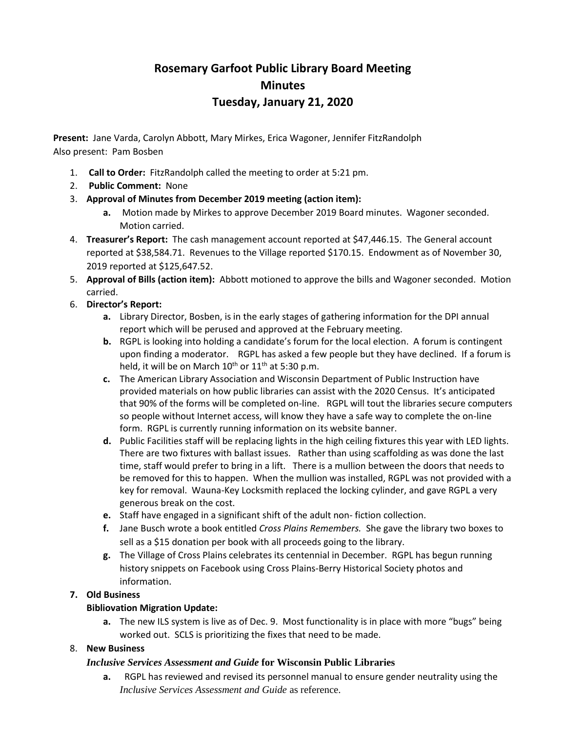# **Rosemary Garfoot Public Library Board Meeting Minutes Tuesday, January 21, 2020**

**Present:** Jane Varda, Carolyn Abbott, Mary Mirkes, Erica Wagoner, Jennifer FitzRandolph Also present: Pam Bosben

- 1. **Call to Order:** FitzRandolph called the meeting to order at 5:21 pm.
- 2. **Public Comment:** None
- 3. **Approval of Minutes from December 2019 meeting (action item):**
	- **a.** Motion made by Mirkes to approve December 2019 Board minutes. Wagoner seconded. Motion carried.
- 4. **Treasurer's Report:** The cash management account reported at \$47,446.15. The General account reported at \$38,584.71. Revenues to the Village reported \$170.15. Endowment as of November 30, 2019 reported at \$125,647.52.
- 5. **Approval of Bills (action item):** Abbott motioned to approve the bills and Wagoner seconded. Motion carried.
- 6. **Director's Report:**
	- **a.** Library Director, Bosben, is in the early stages of gathering information for the DPI annual report which will be perused and approved at the February meeting.
	- **b.** RGPL is looking into holding a candidate's forum for the local election. A forum is contingent upon finding a moderator. RGPL has asked a few people but they have declined. If a forum is held, it will be on March  $10^{th}$  or  $11^{th}$  at 5:30 p.m.
	- **c.** The American Library Association and Wisconsin Department of Public Instruction have provided materials on how public libraries can assist with the 2020 Census. It's anticipated that 90% of the forms will be completed on-line. RGPL will tout the libraries secure computers so people without Internet access, will know they have a safe way to complete the on-line form. RGPL is currently running information on its website banner.
	- **d.** Public Facilities staff will be replacing lights in the high ceiling fixtures this year with LED lights. There are two fixtures with ballast issues. Rather than using scaffolding as was done the last time, staff would prefer to bring in a lift. There is a mullion between the doors that needs to be removed for this to happen. When the mullion was installed, RGPL was not provided with a key for removal. Wauna-Key Locksmith replaced the locking cylinder, and gave RGPL a very generous break on the cost.
	- **e.** Staff have engaged in a significant shift of the adult non- fiction collection.
	- **f.** Jane Busch wrote a book entitled *Cross Plains Remembers.* She gave the library two boxes to sell as a \$15 donation per book with all proceeds going to the library.
	- **g.** The Village of Cross Plains celebrates its centennial in December. RGPL has begun running history snippets on Facebook using Cross Plains-Berry Historical Society photos and information.

## **7. Old Business**

## **Bibliovation Migration Update:**

**a.** The new ILS system is live as of Dec. 9. Most functionality is in place with more "bugs" being worked out. SCLS is prioritizing the fixes that need to be made.

## 8. **New Business**

## *Inclusive Services Assessment and Guide* **for Wisconsin Public Libraries**

**a.** RGPL has reviewed and revised its personnel manual to ensure gender neutrality using the *Inclusive Services Assessment and Guide* as reference.